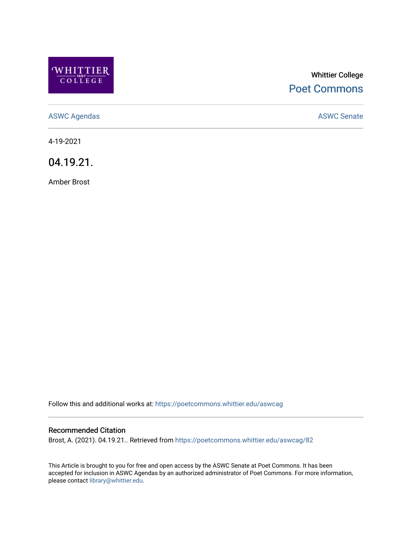

# Whittier College [Poet Commons](https://poetcommons.whittier.edu/)

[ASWC Agendas](https://poetcommons.whittier.edu/aswcag) **ASWC Senate** 

4-19-2021

04.19.21.

Amber Brost

Follow this and additional works at: [https://poetcommons.whittier.edu/aswcag](https://poetcommons.whittier.edu/aswcag?utm_source=poetcommons.whittier.edu%2Faswcag%2F82&utm_medium=PDF&utm_campaign=PDFCoverPages) 

## Recommended Citation

Brost, A. (2021). 04.19.21.. Retrieved from [https://poetcommons.whittier.edu/aswcag/82](https://poetcommons.whittier.edu/aswcag/82?utm_source=poetcommons.whittier.edu%2Faswcag%2F82&utm_medium=PDF&utm_campaign=PDFCoverPages) 

This Article is brought to you for free and open access by the ASWC Senate at Poet Commons. It has been accepted for inclusion in ASWC Agendas by an authorized administrator of Poet Commons. For more information, please contact [library@whittier.edu](mailto:library@whittier.edu).